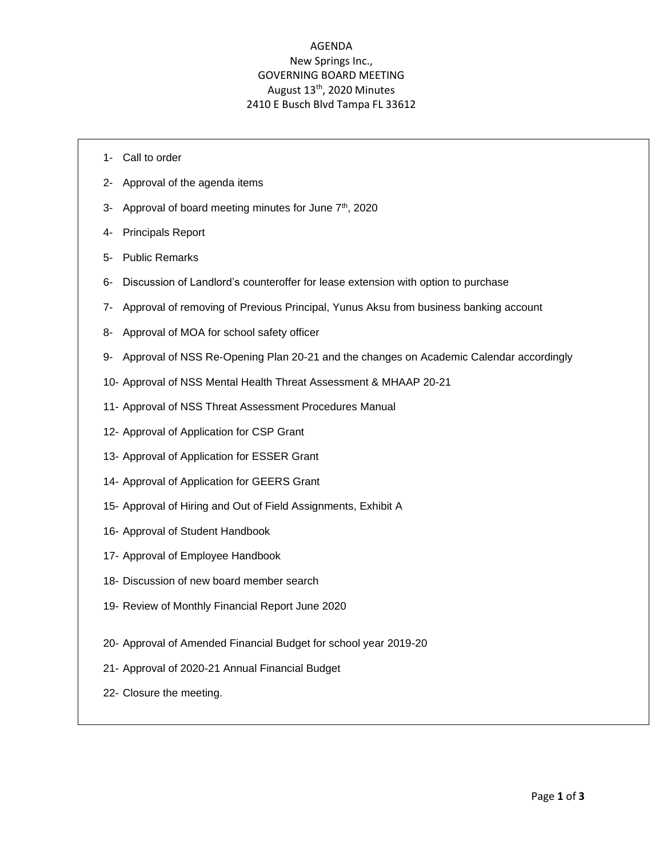# AGENDA New Springs Inc., GOVERNING BOARD MEETING August 13<sup>th</sup>, 2020 Minutes 2410 E Busch Blvd Tampa FL 33612

- 1- Call to order
- 2- Approval of the agenda items
- 3- Approval of board meeting minutes for June 7<sup>th</sup>, 2020
- 4- Principals Report
- 5- Public Remarks
- 6- Discussion of Landlord's counteroffer for lease extension with option to purchase
- 7- Approval of removing of Previous Principal, Yunus Aksu from business banking account
- 8- Approval of MOA for school safety officer
- 9- Approval of NSS Re-Opening Plan 20-21 and the changes on Academic Calendar accordingly
- 10- Approval of NSS Mental Health Threat Assessment & MHAAP 20-21
- 11- Approval of NSS Threat Assessment Procedures Manual
- 12- Approval of Application for CSP Grant
- 13- Approval of Application for ESSER Grant
- 14- Approval of Application for GEERS Grant
- 15- Approval of Hiring and Out of Field Assignments, Exhibit A
- 16- Approval of Student Handbook
- 17- Approval of Employee Handbook
- 18- Discussion of new board member search
- 19- Review of Monthly Financial Report June 2020
- 20- Approval of Amended Financial Budget for school year 2019-20
- 21- Approval of 2020-21 Annual Financial Budget
- 22- Closure the meeting.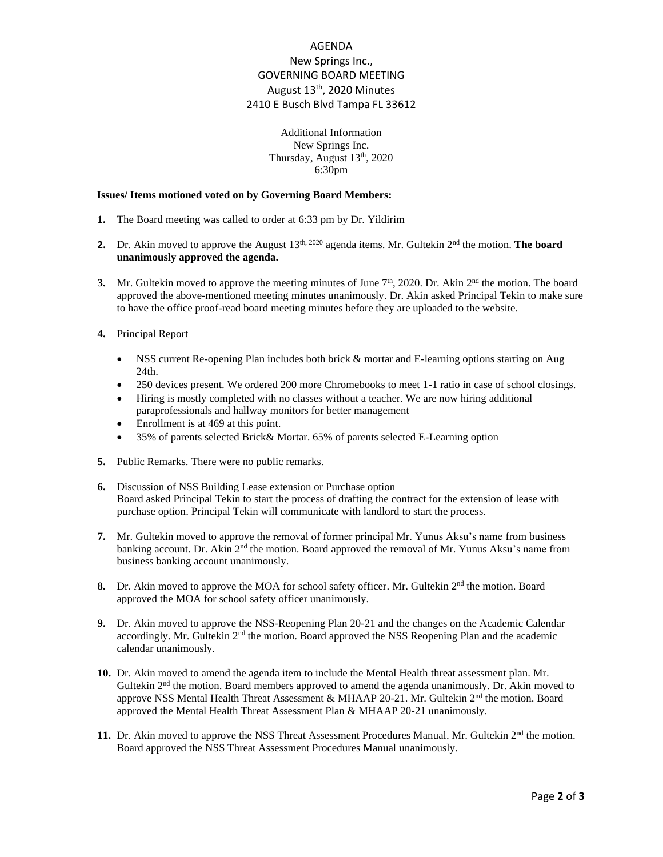# AGENDA New Springs Inc., GOVERNING BOARD MEETING August 13<sup>th</sup>, 2020 Minutes 2410 E Busch Blvd Tampa FL 33612

### Additional Information New Springs Inc. Thursday, August 13<sup>th</sup>, 2020 6:30pm

#### **Issues/ Items motioned voted on by Governing Board Members:**

- **1.** The Board meeting was called to order at 6:33 pm by Dr. Yildirim
- **2.** Dr. Akin moved to approve the August 13<sup>th, 2020</sup> agenda items. Mr. Gultekin 2<sup>nd</sup> the motion. **The board unanimously approved the agenda.**
- **3.** Mr. Gultekin moved to approve the meeting minutes of June  $7<sup>th</sup>$ , 2020. Dr. Akin  $2<sup>nd</sup>$  the motion. The board approved the above-mentioned meeting minutes unanimously. Dr. Akin asked Principal Tekin to make sure to have the office proof-read board meeting minutes before they are uploaded to the website.
- **4.** Principal Report
	- NSS current Re-opening Plan includes both brick & mortar and E-learning options starting on Aug 24th.
	- 250 devices present. We ordered 200 more Chromebooks to meet 1-1 ratio in case of school closings.
	- Hiring is mostly completed with no classes without a teacher. We are now hiring additional paraprofessionals and hallway monitors for better management
	- Enrollment is at 469 at this point.
	- 35% of parents selected Brick& Mortar. 65% of parents selected E-Learning option
- **5.** Public Remarks. There were no public remarks.
- **6.** Discussion of NSS Building Lease extension or Purchase option Board asked Principal Tekin to start the process of drafting the contract for the extension of lease with purchase option. Principal Tekin will communicate with landlord to start the process.
- **7.** Mr. Gultekin moved to approve the removal of former principal Mr. Yunus Aksu's name from business banking account. Dr. Akin 2<sup>nd</sup> the motion. Board approved the removal of Mr. Yunus Aksu's name from business banking account unanimously.
- **8.** Dr. Akin moved to approve the MOA for school safety officer. Mr. Gultekin 2<sup>nd</sup> the motion. Board approved the MOA for school safety officer unanimously.
- **9.** Dr. Akin moved to approve the NSS-Reopening Plan 20-21 and the changes on the Academic Calendar accordingly. Mr. Gultekin 2<sup>nd</sup> the motion. Board approved the NSS Reopening Plan and the academic calendar unanimously.
- **10.** Dr. Akin moved to amend the agenda item to include the Mental Health threat assessment plan. Mr. Gultekin  $2<sup>nd</sup>$  the motion. Board members approved to amend the agenda unanimously. Dr. Akin moved to approve NSS Mental Health Threat Assessment & MHAAP 20-21. Mr. Gultekin 2<sup>nd</sup> the motion. Board approved the Mental Health Threat Assessment Plan & MHAAP 20-21 unanimously.
- **11.** Dr. Akin moved to approve the NSS Threat Assessment Procedures Manual. Mr. Gultekin 2<sup>nd</sup> the motion. Board approved the NSS Threat Assessment Procedures Manual unanimously.